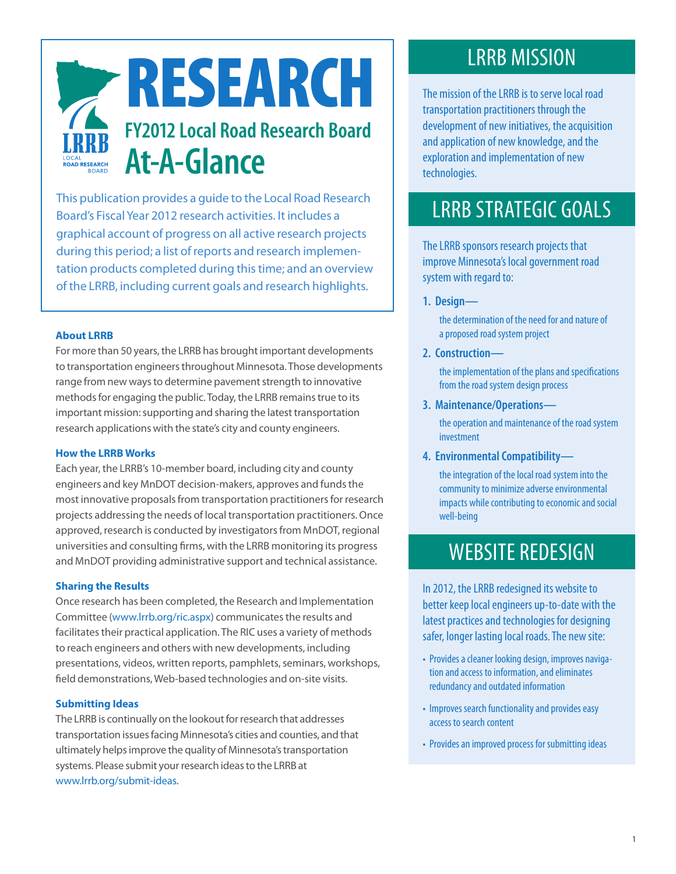

This publication provides a guide to the Local Road Research Board's Fiscal Year 2012 research activities. It includes a graphical account of progress on all active research projects during this period; a list of reports and research implementation products completed during this time; and an overview of the LRRB, including current goals and research highlights.

### **About LRRB**

For more than 50 years, the LRRB has brought important developments to transportation engineers throughout Minnesota. Those developments range from new ways to determine pavement strength to innovative methods for engaging the public. Today, the LRRB remains true to its important mission: supporting and sharing the latest transportation research applications with the state's city and county engineers.

#### **How the LRRB Works**

Each year, the LRRB's 10-member board, including city and county engineers and key MnDOT decision-makers, approves and funds the most innovative proposals from transportation practitioners for research projects addressing the needs of local transportation practitioners. Once approved, research is conducted by investigators from MnDOT, regional universities and consulting firms, with the LRRB monitoring its progress and MnDOT providing administrative support and technical assistance.

#### **Sharing the Results**

Once research has been completed, the Research and Implementation Committee ([www.lrrb.org/ric.aspx\)](http://www.lrrb.org/ric.aspx) communicates the results and facilitates their practical application. The RIC uses a variety of methods to reach engineers and others with new developments, including presentations, videos, written reports, pamphlets, seminars, workshops, field demonstrations, Web-based technologies and on-site visits.

#### **Submitting Ideas**

The LRRB is continually on the lookout for research that addresses transportation issues facing Minnesota's cities and counties, and that ultimately helps improve the quality of Minnesota's transportation systems. Please submit your research ideas to the LRRB at [www.lrrb.org/submit-ideas.](http://www.lrrb.org/submit-ideas)

# LRRB MISSION

The mission of the LRRB is to serve local road transportation practitioners through the development of new initiatives, the acquisition and application of new knowledge, and the exploration and implementation of new technologies.

# LRRB STRATEGIC GOALS

The LRRB sponsors research projects that improve Minnesota's local government road system with regard to:

#### **1. Design—**

֡֡֡֡֡֡

 the determination of the need for and nature of a proposed road system project

## **2. Construction—**

 the implementation of the plans and specifications from the road system design process

**3. Maintenance/Operations—**

 the operation and maintenance of the road system investment

**4. Environmental Compatibility—**

the integration of the local road system into the community to minimize adverse environmental impacts while contributing to economic and social well-being

# WEBSITE REDESIGN

In 2012, the LRRB redesigned its website to better keep local engineers up-to-date with the latest practices and technologies for designing safer, longer lasting local roads. The new site:

- Provides a cleaner looking design, improves navigation and access to information, and eliminates redundancy and outdated information
- Improves search functionality and provides easy access to search content
- Provides an improved process for submitting ideas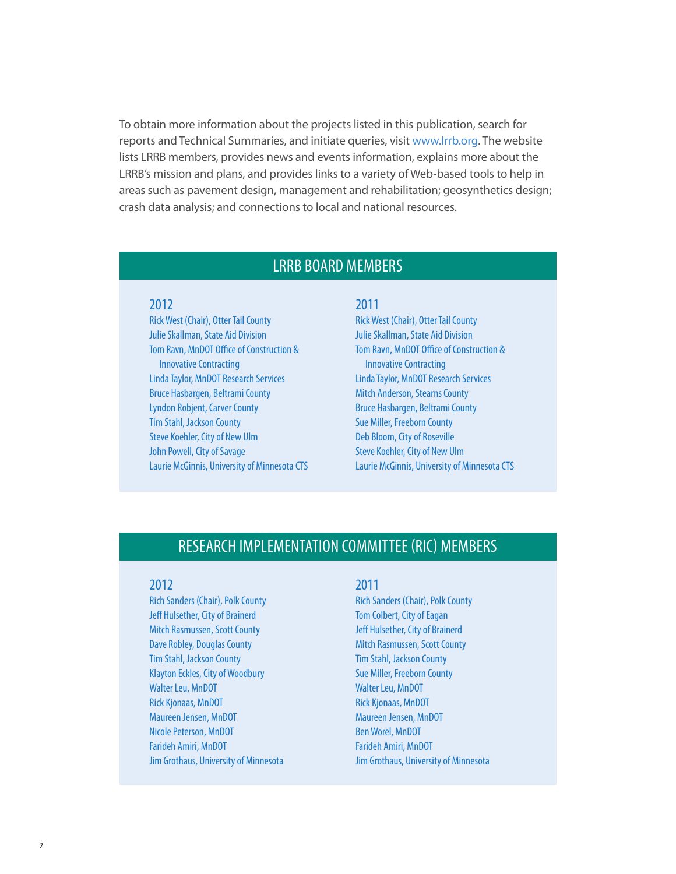To obtain more information about the projects listed in this publication, search for reports and Technical Summaries, and initiate queries, visit [www.lrrb.org](http://www.lrrb.org). The website lists LRRB members, provides news and events information, explains more about the LRRB's mission and plans, and provides links to a variety of Web-based tools to help in areas such as pavement design, management and rehabilitation; geosynthetics design; crash data analysis; and connections to local and national resources.

## LRRB BOARD MEMBERS

## 2012

Rick West (Chair), Otter Tail County Julie Skallman, State Aid Division Tom Ravn, MnDOT Office of Construction & Innovative Contracting Linda Taylor, MnDOT Research Services Bruce Hasbargen, Beltrami County Lyndon Robjent, Carver County Tim Stahl, Jackson County Steve Koehler, City of New Ulm John Powell, City of Savage Laurie McGinnis, University of Minnesota CTS

## 2011

Rick West (Chair), Otter Tail County Julie Skallman, State Aid Division Tom Ravn, MnDOT Office of Construction & Innovative Contracting Linda Taylor, MnDOT Research Services Mitch Anderson, Stearns County Bruce Hasbargen, Beltrami County Sue Miller, Freeborn County Deb Bloom, City of Roseville Steve Koehler, City of New Ulm Laurie McGinnis, University of Minnesota CTS

## RESEARCH IMPLEMENTATION COMMITTEE (RIC) MEMBERS

#### 2012

Rich Sanders (Chair), Polk County Jeff Hulsether, City of Brainerd Mitch Rasmussen, Scott County Dave Robley, Douglas County Tim Stahl, Jackson County Klayton Eckles, City of Woodbury Walter Leu, MnDOT Rick Kjonaas, MnDOT Maureen Jensen, MnDOT Nicole Peterson, MnDOT Farideh Amiri, MnDOT Jim Grothaus, University of Minnesota

#### 2011

Rich Sanders (Chair), Polk County Tom Colbert, City of Eagan Jeff Hulsether, City of Brainerd Mitch Rasmussen, Scott County Tim Stahl, Jackson County Sue Miller, Freeborn County Walter Leu, MnDOT Rick Kjonaas, MnDOT Maureen Jensen, MnDOT Ben Worel, MnDOT Farideh Amiri, MnDOT Jim Grothaus, University of Minnesota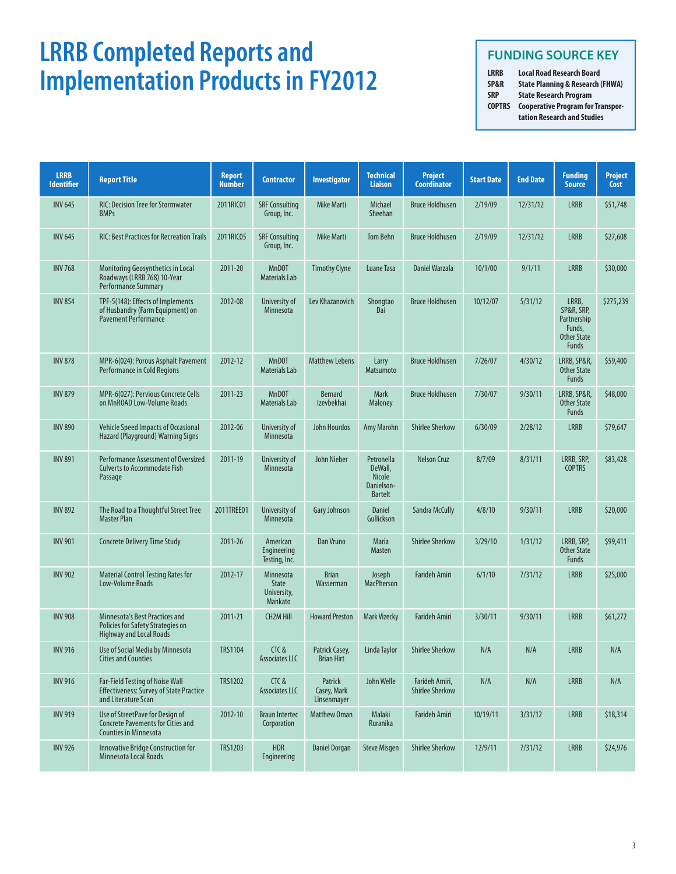# **LRRB Completed Reports and Implementation Products in FY2012**

## **FUNDING SOURCE KEY**

**LRRB Local Road Research Board SP&R State Planning & Research (FHWA) State Research Program COPTRS Cooperative Program for Transportation Research and Studies**

| <b>LRRB</b><br><b>Identifier</b> | <b>Report Title</b>                                                                                             | <b>Report</b><br><b>Number</b> | <b>Contractor</b>                                   | <b>Investigator</b>                   | <b>Technical</b><br><b>Liaison</b>                                     | <b>Project</b><br><b>Coordinator</b>     | <b>Start Date</b> | <b>End Date</b> | <b>Funding</b><br><b>Source</b>                                             | <b>Project</b><br>Cost |
|----------------------------------|-----------------------------------------------------------------------------------------------------------------|--------------------------------|-----------------------------------------------------|---------------------------------------|------------------------------------------------------------------------|------------------------------------------|-------------------|-----------------|-----------------------------------------------------------------------------|------------------------|
| <b>INV 645</b>                   | <b>RIC: Decision Tree for Stormwater</b><br><b>BMPs</b>                                                         | 2011RIC01                      | <b>SRF Consulting</b><br>Group, Inc.                | <b>Mike Marti</b>                     | Michael<br>Sheehan                                                     | <b>Bruce Holdhusen</b>                   | 2/19/09           | 12/31/12        | <b>LRRB</b>                                                                 | \$51,748               |
| <b>INV 645</b>                   | <b>RIC: Best Practices for Recreation Trails</b>                                                                | 2011RIC05                      | <b>SRF Consulting</b><br>Group, Inc.                | <b>Mike Marti</b>                     | <b>Tom Behn</b>                                                        | <b>Bruce Holdhusen</b>                   | 2/19/09           | 12/31/12        | <b>LRRB</b>                                                                 | \$27,608               |
| <b>INV 768</b>                   | Monitoring Geosynthetics in Local<br>Roadways (LRRB 768) 10-Year<br><b>Performance Summary</b>                  | 2011-20                        | <b>MnDOT</b><br><b>Materials Lab</b>                | <b>Timothy Clyne</b>                  | Luane Tasa                                                             | Daniel Warzala                           | 10/1/00           | 9/1/11          | <b>LRRB</b>                                                                 | \$30,000               |
| <b>INV 854</b>                   | TPF-5(148): Effects of Implements<br>of Husbandry (Farm Equipment) on<br><b>Pavement Performance</b>            | 2012-08                        | University of<br>Minnesota                          | Lev Khazanovich                       | Shongtao<br>Dai                                                        | <b>Bruce Holdhusen</b>                   | 10/12/07          | 5/31/12         | LRRB,<br>SP&R, SRP,<br>Partnership<br>Funds,<br><b>Other State</b><br>Funds | \$275,239              |
| <b>INV 878</b>                   | MPR-6(024): Porous Asphalt Pavement<br>Performance in Cold Regions                                              | 2012-12                        | <b>MnDOT</b><br><b>Materials Lab</b>                | <b>Matthew Lebens</b>                 | Larry<br>Matsumoto                                                     | <b>Bruce Holdhusen</b>                   | 7/26/07           | 4/30/12         | LRRB, SP&R,<br><b>Other State</b><br>Funds                                  | \$59,400               |
| <b>INV 879</b>                   | MPR-6(027): Pervious Concrete Cells<br>on MnROAD Low-Volume Roads                                               | 2011-23                        | <b>MnDOT</b><br><b>Materials Lab</b>                | <b>Bernard</b><br><b>Izevbekhai</b>   | <b>Mark</b><br><b>Maloney</b>                                          | <b>Bruce Holdhusen</b>                   | 7/30/07           | 9/30/11         | LRRB, SP&R,<br><b>Other State</b><br>Funds                                  | \$48,000               |
| <b>INV 890</b>                   | Vehicle Speed Impacts of Occasional<br>Hazard (Playground) Warning Signs                                        | 2012-06                        | University of<br>Minnesota                          | <b>John Hourdos</b>                   | Amy Marohn                                                             | <b>Shirlee Sherkow</b>                   | 6/30/09           | 2/28/12         | <b>LRRB</b>                                                                 | \$79,647               |
| <b>INV 891</b>                   | Performance Assessment of Oversized<br><b>Culverts to Accommodate Fish</b><br>Passage                           | 2011-19                        | University of<br><b>Minnesota</b>                   | <b>John Nieber</b>                    | Petronella<br>DeWall,<br><b>Nicole</b><br>Danielson-<br><b>Bartelt</b> | <b>Nelson Cruz</b>                       | 8/7/09            | 8/31/11         | LRRB, SRP,<br><b>COPTRS</b>                                                 | \$83,428               |
| <b>INV 892</b>                   | The Road to a Thoughtful Street Tree<br><b>Master Plan</b>                                                      | 2011TREE01                     | University of<br>Minnesota                          | Gary Johnson                          | <b>Daniel</b><br>Gullickson                                            | Sandra McCully                           | 4/8/10            | 9/30/11         | <b>LRRB</b>                                                                 | \$20,000               |
| <b>INV 901</b>                   | <b>Concrete Delivery Time Study</b>                                                                             | 2011-26                        | American<br>Engineering<br>Testing, Inc.            | Dan Vruno                             | <b>Maria</b><br><b>Masten</b>                                          | <b>Shirlee Sherkow</b>                   | 3/29/10           | 1/31/12         | LRRB, SRP,<br><b>Other State</b><br>Funds                                   | \$99,411               |
| <b>INV 902</b>                   | <b>Material Control Testing Rates for</b><br>Low-Volume Roads                                                   | 2012-17                        | Minnesota<br><b>State</b><br>University,<br>Mankato | <b>Brian</b><br>Wasserman             | Joseph<br><b>MacPherson</b>                                            | <b>Farideh Amiri</b>                     | 6/1/10            | 7/31/12         | <b>LRRB</b>                                                                 | \$25,000               |
| <b>INV 908</b>                   | Minnesota's Best Practices and<br>Policies for Safety Strategies on<br><b>Highway and Local Roads</b>           | 2011-21                        | <b>CH2M Hill</b>                                    | <b>Howard Preston</b>                 | <b>Mark Vizecky</b>                                                    | <b>Farideh Amiri</b>                     | 3/30/11           | 9/30/11         | <b>LRRB</b>                                                                 | \$61,272               |
| <b>INV 916</b>                   | Use of Social Media by Minnesota<br><b>Cities and Counties</b>                                                  | <b>TRS1104</b>                 | CTC&<br><b>Associates LLC</b>                       | Patrick Casey,<br><b>Brian Hirt</b>   | Linda Taylor                                                           | <b>Shirlee Sherkow</b>                   | N/A               | N/A             | <b>LRRB</b>                                                                 | N/A                    |
| <b>INV 916</b>                   | <b>Far-Field Testing of Noise Wall</b><br><b>Effectiveness: Survey of State Practice</b><br>and Literature Scan | <b>TRS1202</b>                 | CTC&<br>Associates LLC                              | Patrick<br>Casey, Mark<br>Linsenmayer | John Welle                                                             | Farideh Amiri,<br><b>Shirlee Sherkow</b> | N/A               | N/A             | <b>LRRB</b>                                                                 | N/A                    |
| <b>INV 919</b>                   | Use of StreetPave for Design of<br><b>Concrete Pavements for Cities and</b><br><b>Counties in Minnesota</b>     | 2012-10                        | <b>Braun Intertec</b><br>Corporation                | Matthew Oman                          | Malaki<br>Ruranika                                                     | <b>Farideh Amiri</b>                     | 10/19/11          | 3/31/12         | <b>LRRB</b>                                                                 | \$18,314               |
| <b>INV 926</b>                   | <b>Innovative Bridge Construction for</b><br><b>Minnesota Local Roads</b>                                       | TRS1203                        | <b>HDR</b><br>Engineering                           | <b>Daniel Dorgan</b>                  | <b>Steve Misgen</b>                                                    | <b>Shirlee Sherkow</b>                   | 12/9/11           | 7/31/12         | <b>LRRB</b>                                                                 | \$24,976               |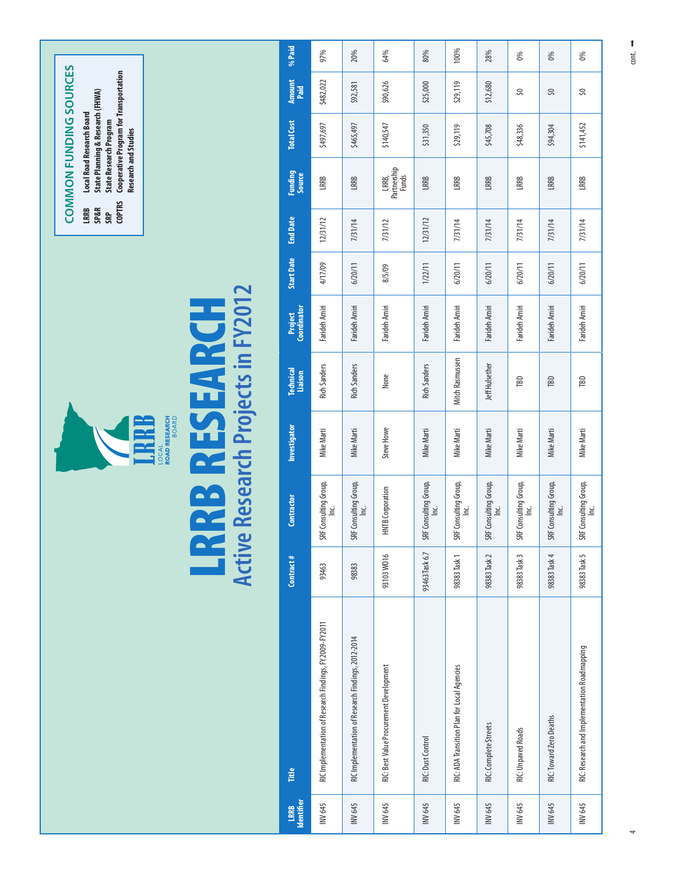|                    |                                                        |                     |                               |                                                                                         |                             |                               |                   | <b>COPTRS</b><br>LRRB<br><b>SP&amp;R</b><br>SRP | <b>COMMON FUNDING SOURCES</b><br><b>Research and Studies</b> | <b>Cooperative Program for Transportation</b><br>State Planning & Research (FHWA)<br><b>Local Road Research Board</b><br><b>State Research Program</b> |                |        |
|--------------------|--------------------------------------------------------|---------------------|-------------------------------|-----------------------------------------------------------------------------------------|-----------------------------|-------------------------------|-------------------|-------------------------------------------------|--------------------------------------------------------------|--------------------------------------------------------------------------------------------------------------------------------------------------------|----------------|--------|
|                    |                                                        | <b>LR</b><br>Active | aa<br>az                      | Research Projects in FY2012<br><b>ROAD RESEARCH<br/>BOARD</b><br>≊<br><b>LOCAL</b><br>N | <b>ESEARCH</b>              |                               |                   |                                                 |                                                              |                                                                                                                                                        |                |        |
| LRRB<br>Identifier | Title                                                  | Contract#           | Contractor                    | Investigator                                                                            | <b>Technical</b><br>Liaison | <b>Project</b><br>Coordinator | <b>Start Date</b> | <b>End Date</b>                                 | Funding<br>Source                                            | <b>Total Cost</b>                                                                                                                                      | Amount<br>Paid | % Paid |
|                    | RIC Implementation of Research Findings, FY2009-FY2011 | 93463               | SRF Consulting Group,<br>Inc. | Mike Marti                                                                              | <b>Rich Sanders</b>         | Farideh Amiri                 | 4/17/09           | 12/31/12                                        | LRRB                                                         | \$497,697                                                                                                                                              | \$482,022      | 97%    |
|                    | RIC Implementation of Research Findings, 2012-2014     | 98383               | SRF Consulting Group,<br>Inc. | Mike Marti                                                                              | <b>Rich Sanders</b>         | Farideh Amiri                 | 6/20/11           | 7/31/14                                         | LRRB                                                         | \$465,497                                                                                                                                              | \$92,581       | 20%    |
|                    | RIC: Best Value Procurement Development                | 93103W016           | <b>HNTB</b> Corporation       | Steve Howe                                                                              | None                        | Farideh Amiri                 | 8/5/09            | 7/31/12                                         | LRRB,<br>Partnership<br>Funds                                | \$140,547                                                                                                                                              | \$90,626       | 64%    |
|                    | RIC: Dust Control                                      | 93463 Task 6.7      | SRF Consulting Group,<br>Inc. | Mike Marti                                                                              | <b>Rich Sanders</b>         | Farideh Amiri                 | 1/22/11           | 12/31/12                                        | LRRB                                                         | \$31,350                                                                                                                                               | \$25,000       | 80%    |
|                    | RIC: ADA Transition Plan for Local Agencies            | 98383 Task 1        | SRF Consulting Group,<br>Inc. | Mike Marti                                                                              | Mitch Rasmussen             | Farideh Amiri                 | 6/20/11           | 7/31/14                                         | LRRB                                                         | \$29,119                                                                                                                                               | \$29,119       | 100%   |
|                    | RIC: Complete Streets                                  | 98383 Task 2        | SRF Consulting Group,<br>Inc. | Mike Marti                                                                              | Jeff Hulsether              | Farideh Amiri                 | 6/20/11           | 7/31/14                                         | LRRB                                                         | \$45,708                                                                                                                                               | \$12,680       | 28%    |
|                    | <b>RIC: Unpaved Roads</b>                              | 98383 Task 3        | SRF Consulting Group,<br>Inc. | Mike Marti                                                                              | $\mathbb{B}$                | Farideh Amiri                 | 6/20/11           | 7/31/14                                         | LRRB                                                         | \$48,336                                                                                                                                               | S,             | 0%     |
|                    | RIC: Toward Zero Deaths                                | 98383 Task 4        | SRF Consulting Group,<br>Inc. | Mike Marti                                                                              | <b>TBD</b>                  | Farideh Amiri                 | 6/20/11           | 7/31/14                                         | LRRB                                                         | \$94,304                                                                                                                                               | $\Im$          | 0%     |
|                    | RIC: Research and Implementation Roadmapping           | 98383 Task 5        | SRF Consulting Group,<br>Inc. | Mike Marti                                                                              | ΠBD                         | Farideh Amiri                 | 6/20/11           | 7/31/14                                         | LRRB                                                         | \$141,452                                                                                                                                              | S,             | 0%     |

4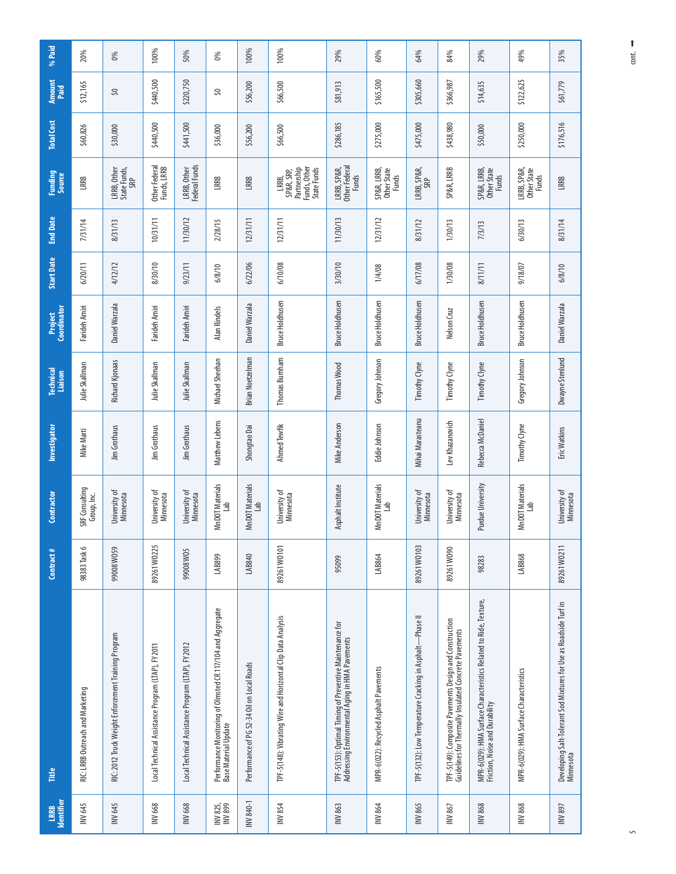| Identifier<br>LRRB  | Fitte                                                                                                            | Contract#    | Contractor                        | Investigator     | <b>Technical</b><br>Liaison | Project<br>Coordinator | <b>Start Date</b> | <b>End Date</b> | Funding<br>Source                                                 | <b>Total Cost</b> | Amount<br>Paid | % Paid |
|---------------------|------------------------------------------------------------------------------------------------------------------|--------------|-----------------------------------|------------------|-----------------------------|------------------------|-------------------|-----------------|-------------------------------------------------------------------|-------------------|----------------|--------|
| INV 645             | RIC: LRRB Outreach and Marketing                                                                                 | 98383 Task 6 | SRF Consulting<br>Group, Inc.     | Mike Marti       | Julie Skallman              | Farideh Amiri          | 6/20/11           | 7/31/14         | LRRB                                                              | \$60,826          | \$12,165       | 20%    |
| INV 645             | RIC: 2012 Truck Weight Enforcement Training Program                                                              | 99008W059    | Jniversity of<br><b>Minnesota</b> | Jim Grothaus     | <b>Richard Kjonaas</b>      | Daniel Warzala         | 4/12/12           | 8/31/13         | LRRB, Other<br>State Funds,<br>SRP                                | \$30,000          | SQ.            | 0%     |
| INV 668             | Local Technical Assistance Program (LTAP), FY2011                                                                | 89261 W0225  | Jniversity of<br>Minnesota        | Jim Grothaus     | Julie Skallman              | Farideh Amiri          | 8/30/10           | 10/31/11        | Other Federal<br>Funds, LRRB                                      | \$440,500         | \$440,500      | 100%   |
| INV 668             | Local Technical Assistance Program (LTAP), FY2012                                                                | 99008W05     | Jniversity of<br>Minnesota        | Jim Grothaus     | Julie Skallman              | Farideh Amiri          | 9/23/11           | 11/30/12        | LRRB, Other<br>Federal Funds                                      | \$441,500         | \$220,750      | 50%    |
| INV 825,<br>INV 899 | Performance Monitoring of Olmsted CR 117/104 and Aggregate<br>Base Material Update                               | LAB899       | MnDOT Materials<br>Lab            | Matthew Lebens   | Michael Sheehan             | Alan Rindels           | 6/8/10            | 2/28/15         | LRRB                                                              | \$36,000          | S,             | 0%     |
| INV 840-1           | Performance of PG 52-34 Oil on Local Roads                                                                       | LAB840       | MnDOT Materials<br>Lab            | Shongtao Dai     | <b>Brian Noetzelman</b>     | Daniel Warzala         | 6/22/06           | 12/31/11        | LRRB                                                              | \$56,200          | \$56,200       | 100%   |
| INV854              | TPF-5(148): Vibrating Wire and Horizontal Clip Data Analysis                                                     | 89261 WO101  | Jniversity of<br><b>Minnesota</b> | Ahmed Tewfik     | Thomas Burnham              | <b>Bruce Holdhusen</b> | 6/10/08           | 12/31/11        | Funds, Other<br>Partnership<br>State Funds<br>SP&R, SRP,<br>LRRB, | \$66,500          | \$66,500       | 100%   |
| INV 863             | TPF-5(153): Optimal Timing of Preventive Maintenance for<br>Addressing Environmental Aging in HMA Pavements      | 95099        | Asphalt Institute                 | Mike Anderson    | <b>Thomas Wood</b>          | <b>Bruce Holdhusen</b> | 3/30/10           | 11/30/13        | LRRB, SP&R,<br>Other Federal<br>Funds                             | \$286,185         | \$81,913       | 29%    |
| INV 864             | MPR-6(022): Recycled Asphalt Pavements                                                                           | LAB864       | MnDOT Materials<br>Lab            | Eddie Johnson    | Gregory Johnson             | <b>Bruce Holdhusen</b> | 1/4/08            | 12/31/12        | SP&R, LRRB,<br>Other State<br>Funds                               | \$275,000         | \$165,500      | 60%    |
| INV 865             | TPF-5(132): Low Temperature Cracking in Asphalt-Phase II                                                         | 89261 W0103  | University of<br><b>Minnesota</b> | Mihai Marasteanu | Timothy Clyne               | <b>Bruce Holdhusen</b> | 6/17/08           | 8/31/12         | LRRB, SP&R,<br>SRP                                                | \$475,000         | \$305,660      | 64%    |
| INV 867             | TPF-S(149): Composite Pavements Design and Construction<br>Guidelines for Thermally Insulated Concrete Pavements | 89261W090    | University of<br>Minnesota        | Lev Khazanovich  | Timothy Clyne               | Nelson Cruz            | 1/30/08           | 1/30/13         | SP&R, LRRB                                                        | \$438,980         | \$366,987      | 84%    |
| <b>INV 868</b>      | MPR-6(029): HMA Surface Characteristics Related to Ride, Texture,<br>Friction, Noise and Durability              | 98283        | Purdue University                 | Rebecca McDaniel | Timothy Clyne               | <b>Bruce Holdhusen</b> | 8/11/11           | 7/3/13          | SP&R, LRRB,<br>Other State<br><b>Funds</b>                        | \$50,000          | \$14,635       | 29%    |
| <b>INV 868</b>      | MPR-6(029): HMA Surface Characteristics                                                                          | LAB868       | MnDOT Materials<br>Lab            | Timothy Clyne    | Gregory Johnson             | <b>Bruce Holdhusen</b> | 9/18/07           | 6/30/13         | LRRB, SP&R,<br>Other State<br>Funds                               | \$250,000         | \$122,625      | 49%    |
| INV897              | Developing Salt-Tolerant Sod Mixtures for Use as Roadside Turf in<br>Minnesota                                   | 89261 W0211  | University of<br>Minnesota        | Eric Watkins     | Dwayne Stenlund             | Daniel Warzala         | 6/8/10            | 8/31/14         | LRRB                                                              | \$176,516         | \$61,779       | 35%    |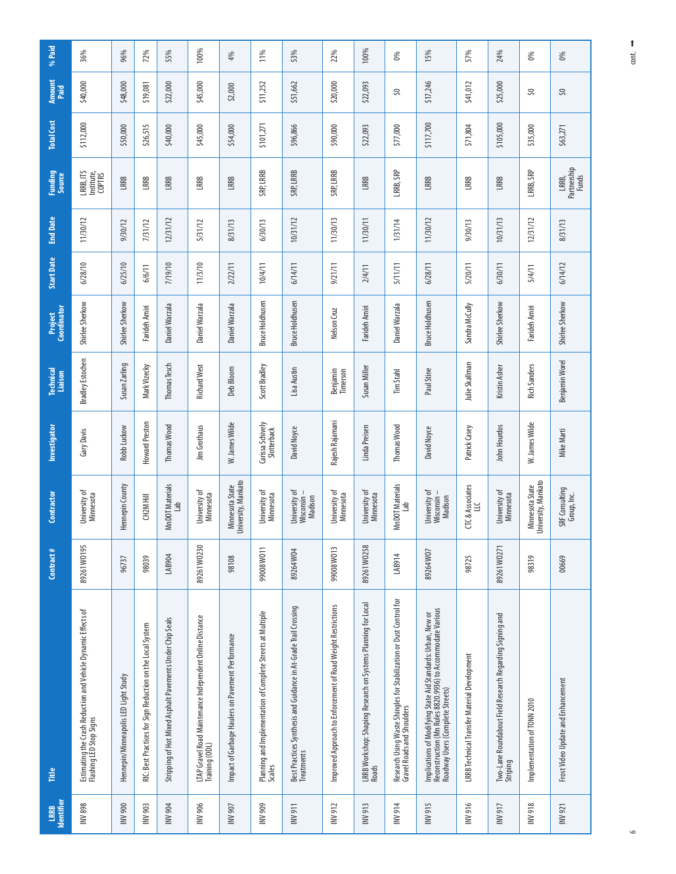| Identifier<br>LRRB | Fitte                                                                                                                                                          | Contract #  | Contractor                             | Investigator                    | <b>Technical</b><br>Liaison | Project<br>Coordinator | <b>Start Date</b> | <b>End Date</b> | <b>Funding</b><br>Source          | <b>Total Cost</b> | Amount<br>Paid | % Paid |
|--------------------|----------------------------------------------------------------------------------------------------------------------------------------------------------------|-------------|----------------------------------------|---------------------------------|-----------------------------|------------------------|-------------------|-----------------|-----------------------------------|-------------------|----------------|--------|
| <b>INV 898</b>     | Estimating the Crash Reduction and Vehicle Dynamic Effects of<br>Flashing LED Stop Signs                                                                       | 89261 WO195 | Jniversity of<br>Minnesota             | Gary Davis                      | Bradley Estochen            | Shirlee Sherkow        | 6/28/10           | 11/30/12        | LRRB, ITS<br>Institute,<br>COPTRS | \$112,000         | \$40,000       | 36%    |
| INV 900            | Hennepin/Minneapolis LED Light Study                                                                                                                           | 96737       | Hennepin County                        | Robb Luckow                     | Susan Zarling               | Shirlee Sherkow        | 6/25/10           | 9/30/12         | LRRB                              | \$50,000          | \$48,000       | 96%    |
| INV 903            | RIC: Best Practices for Sign Reduction on the Local System                                                                                                     | 98039       | CH2M Hill                              | Howard Preston                  | Mark Vizecky                | Farideh Amiri          | 6/6/11            | 7/31/12         | LRRB                              | \$26,515          | \$19,081       | 72%    |
| <b>INV 904</b>     | Stripping of Hot Mixed Asphalt Pavements Under Chip Seals                                                                                                      | LAB904      | MnDOT Materials<br>Lab                 | Thomas Wood                     | Thomas Tesch                | Daniel Warzala         | 7/19/10           | 12/31/12        | <b>LRRB</b>                       | \$40,000          | \$22,000       | 55%    |
| INV 906            | LTAP Gravel Road Maintenance Independent Online Distance<br>Training (ODL)                                                                                     | 89261 W0230 | Jniversity of<br>Minnesota             | Jim Grothaus                    | <b>Richard West</b>         | Daniel Warzala         | 11/3/10           | 5/31/12         | LRRB                              | \$45,000          | \$45,000       | 100%   |
| INV 907            | Impact of Garbage Haulers on Pavement Performance                                                                                                              | 98108       | University, Mankato<br>Minnesota State | W. James Wilde                  | Deb Bloom                   | Daniel Warzala         | 2/22/11           | 8/31/13         | LRRB                              | \$54,000          | \$2,000        | 4%     |
| INV 909            | Planning and Implementation of Complete Streets at Multiple<br>Scales                                                                                          | 110M80066   | Jniversity of<br>Minnesota             | Carissa Schively<br>Slotterback | Scott Bradley               | <b>Bruce Holdhusen</b> | 10/4/11           | 6/30/13         | SRP, LRRB                         | \$101,271         | \$11,252       | 11%    |
| <b>II6 AM</b>      | Best Practices Synthesis and Guidance in At-Grade Trail Crossing<br><b>Treatments</b>                                                                          | 89264W04    | Jniversity of<br>Madison<br>Wisconsin- | David Noyce                     | Lisa Austin                 | <b>Bruce Holdhusen</b> | 6/14/11           | 10/31/12        | SRP, LRRB                         | \$96,866          | \$51,662       | 53%    |
| INV 912            | Improved Approach to Enforcement of Road Weight Restrictions                                                                                                   | 99008W013   | Jniversity of<br>Minnesota             | Rajesh Rajamani                 | Benjamin<br>Timerson        | Nelson Cruz            | 9/21/11           | 11/30/13        | SRP, LRRB                         | \$90,000          | \$20,000       | 22%    |
| INV 913            | LRRB Workshop: Shaping Research on Systems Planning for Local<br>Roads                                                                                         | 89261 W0258 | Jniversity of<br>Minnesota             | Linda Preisen                   | Susan Miller                | Farideh Amiri          | 2/4/11            | 11/30/11        | LRRB                              | \$22,093          | \$22,093       | 100%   |
| <b>NV914</b>       | Research Using Waste Shingles for Stabilization or Dust Control for<br>Gravel Roads and Shoulders                                                              | LAB914      | MnDOT Materials<br>Lab                 | Thomas Wood                     | Tim Stahl                   | Daniel Warzala         | 5/11/11           | 1/31/14         | LRRB, SRP                         | \$77,000          | S,             | 0%     |
| <b>INV915</b>      | Implications of Modifying State Aid Standards: Urban, New or<br>Reconstruction (Mn Rules 8820.9936) to Accommodate Various<br>Roadway Users (Complete Streets) | 89264W07    | Jniversity of<br>Madison<br>Wisconsin  | David Noyce                     | Paul Stine                  | <b>Bruce Holdhusen</b> | 6/28/11           | 11/30/12        | LRRB                              | \$117,700         | \$17,246       | 15%    |
| NV 916             | LRRB Technical Transfer Material Development                                                                                                                   | 98725       | CTC & Associates<br>LLC                | Patrick Casey                   | Julie Skallman              | Sandra McCully         | 5/20/11           | 9/30/13         | LRRB                              | \$71,804          | \$41,012       | 57%    |
| <b>INV917</b>      | Two-Lane Roundabout Field Research Regarding Signing and<br>Striping                                                                                           | 89261 W0271 | University of<br>Minnesota             | John Hourdos                    | Kristin Asher               | Shirlee Sherkow        | 6/30/11           | 10/31/13        | LRRB                              | \$105,000         | \$25,000       | 24%    |
| <b>BL6 ANI</b>     | Implementation of TONN 2010                                                                                                                                    | 98319       | University, Mankato<br>Minnesota State | W. James Wilde                  | <b>Rich Sanders</b>         | Farideh Amiri          | 5/4/11            | 12/31/12        | LRRB, SRP                         | \$35,000          | 50             | $\%$   |
| INV 921            | Frost Video Update and Enhancement                                                                                                                             | 00669       | SRF Consulting<br>Group, Inc.          | Mike Marti                      | Benjamin Worel              | Shirlee Sherkow        | 6/14/12           | 8/31/13         | Partnership<br>Funds<br>LRRB,     | \$63,271          | S,             | 0%     |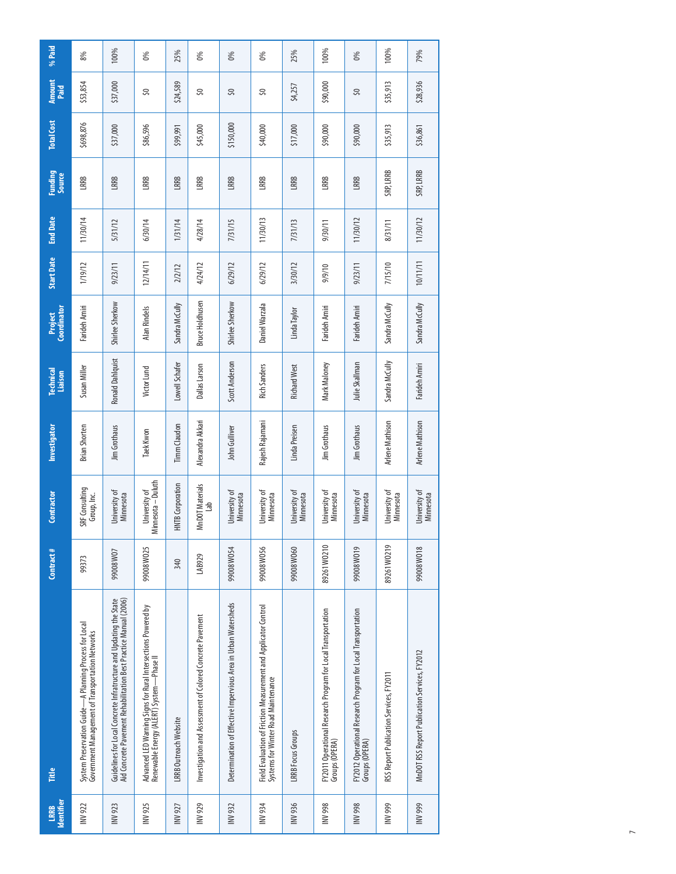| Identifier<br>LRRB | Ĕ                                                                                                                                      | Contract#   | Contractor                        | Investigator           | <b>Technical</b><br>Liaison | Coordinator<br><b>Project</b> | <b>Start Date</b> | <b>End Date</b> | <b>Funding</b><br>Source | <b>Total Cost</b> | <b>Amount</b><br>Paid | % Paid |
|--------------------|----------------------------------------------------------------------------------------------------------------------------------------|-------------|-----------------------------------|------------------------|-----------------------------|-------------------------------|-------------------|-----------------|--------------------------|-------------------|-----------------------|--------|
| INV 922            | System Preservation Guide-A Planning Process for Local<br>Government Management of Transportation Networks                             | 99373       | SRF Consulting<br>Group, Inc.     | <b>Brian Shorten</b>   | Susan Miller                | Farideh Amiri                 | 1/19/12           | 11/30/14        | LRRB                     | \$698,876         | \$53,854              | 8%     |
| INV 923            | Guidelines for Local Concrete Infratructure and Updating the State<br>Aid Concrete Pavement Rehabilitation Best Practice Manual (2006) | 99008W07    | Jniversity of<br><b>Minnesota</b> | Jim Grothaus           | Ronald Dahlquist            | Shirlee Sherkow               | 9/23/11           | 5/31/12         | LRRB                     | \$37,000          | \$37,000              | 100%   |
| INV 925            | Advanced LED Warning Signs for Rural Intersections Powered by<br>Renewable Energy (ALERT) System - Phase II                            | 99008W025   | Minnesota-Duluth<br>University of | <b>Taek Kwon</b>       | Victor Lund                 | Alan Rindels                  | 12/14/11          | 6/30/14         | LRRB                     | \$86,596          | 50                    | 0%     |
| INV 927            | <b>LRRB Outreach Website</b>                                                                                                           | 340         | <b>HNTB</b> Corporation           | <b>Timm</b> Claudon    | Lowell Schafer              | Sandra McCully                | 2/2/12            | 1/31/14         | LRRB                     | \$99,991          | \$24,589              | 25%    |
| INV 929            | Investigation and Assessment of Colored Concrete Pavement                                                                              | LAB929      | MnDOT Materials<br>Lab            | Alexandra Akkari       | Dallas Larson               | <b>Bruce Holdhusen</b>        | 4/24/12           | 4/28/14         | LRRB                     | \$45,000          | 50                    | 0%     |
| INV 932            | Determination of Effective Impervious Area in Urban Watersheds                                                                         | 99008W054   | Jniversity of<br><b>Minnesota</b> | John Gulliver          | Scott Anderson              | Shirlee Sherkow               | 6/29/12           | 7/31/15         | LRRB                     | \$150,000         | S,                    | 0%     |
| <b>NV934</b>       | Field Evaluation of Friction Measurement and Applicator Control<br>Systems for Winter Road Maintenance                                 | 99008W056   | Jniversity of<br>Minnesota        | Rajesh Rajamani        | <b>Rich Sanders</b>         | Daniel Warzala                | 6/29/12           | 11/30/13        | LRRB                     | \$40,000          | S,                    | 0%     |
| NV 936             | <b>LRRB</b> Focus Groups                                                                                                               | 99008W060   | Jniversity of<br>Minnesota        | Linda Preisen          | <b>Richard West</b>         | Linda Taylor                  | 3/30/12           | 7/31/13         | LRRB                     | \$17,000          | \$4,257               | 25%    |
| <b>INV 998</b>     | FY2011 Operational Research Program for Local Transportation<br>Groups (OPERA)                                                         | 89261 W0210 | University of<br>Minnesota        | Jim Grothaus           | Mark Maloney                | Farideh Amiri                 | 9/9/10            | 9/30/11         | LRRB                     | \$90,000          | \$90,000              | 100%   |
| <b>INV 998</b>     | FY2012 Operational Research Program for Local Transportation<br>Groups (OPERA)                                                         | 99008W019   | University of<br>Minnesota        | <b>Jim Grothaus</b>    | Julie Skallman              | Farideh Amiri                 | 9/23/11           | 11/30/12        | LRRB                     | \$90,000          | S,                    | 0%     |
| <b>INV 999</b>     | RSS Report Publication Services, FY2011                                                                                                | 89261 W0219 | University of<br><b>Minnesota</b> | <b>Arlene Mathison</b> | Sandra McCully              | Sandra McCully                | 7/15/10           | 8/31/11         | SRP, LRRB                | \$35,913          | \$35,913              | 100%   |
| <b>INV 999</b>     | MnDOT RSS Report Publication Services, FY2012                                                                                          | 99008W018   | University of<br><b>Minnesota</b> | <b>Arlene Mathison</b> | Farideh Amiri               | Sandra McCully                | 10/11/11          | 11/30/12        | SRP, LRRB                | \$36,861          | \$28,936              | 79%    |